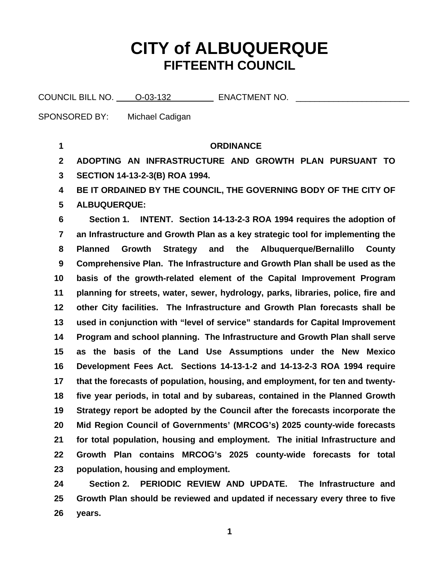# **CITY of ALBUQUERQUE FIFTEENTH COUNCIL**

COUNCIL BILL NO. \_\_\_\_\_ O-03-132 ENACTMENT NO.

| SPONSORED BY: | Michael Cadigan |
|---------------|-----------------|
|---------------|-----------------|

**1 2 3 4 5 6 7 8 9 10 11 12 13 14 15 16 17 18 19 20 21 22 23 24 ORDINANCE ADOPTING AN INFRASTRUCTURE AND GROWTH PLAN PURSUANT TO SECTION 14-13-2-3(B) ROA 1994. BE IT ORDAINED BY THE COUNCIL, THE GOVERNING BODY OF THE CITY OF ALBUQUERQUE: Section 1. INTENT. Section 14-13-2-3 ROA 1994 requires the adoption of an Infrastructure and Growth Plan as a key strategic tool for implementing the Planned Growth Strategy and the Albuquerque/Bernalillo County Comprehensive Plan. The Infrastructure and Growth Plan shall be used as the basis of the growth-related element of the Capital Improvement Program planning for streets, water, sewer, hydrology, parks, libraries, police, fire and other City facilities. The Infrastructure and Growth Plan forecasts shall be used in conjunction with "level of service" standards for Capital Improvement Program and school planning. The Infrastructure and Growth Plan shall serve as the basis of the Land Use Assumptions under the New Mexico Development Fees Act. Sections 14-13-1-2 and 14-13-2-3 ROA 1994 require that the forecasts of population, housing, and employment, for ten and twentyfive year periods, in total and by subareas, contained in the Planned Growth Strategy report be adopted by the Council after the forecasts incorporate the Mid Region Council of Governments' (MRCOG's) 2025 county-wide forecasts for total population, housing and employment. The initial Infrastructure and Growth Plan contains MRCOG's 2025 county-wide forecasts for total population, housing and employment. Section 2. PERIODIC REVIEW AND UPDATE. The Infrastructure and**

**25 26 Growth Plan should be reviewed and updated if necessary every three to five years.** 

**1**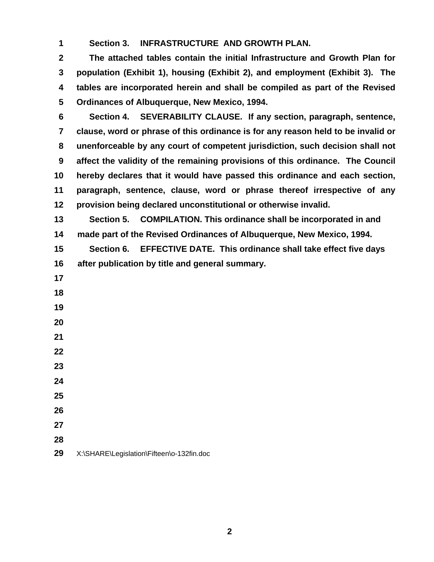**Section 3. INFRASTRUCTURE AND GROWTH PLAN.** 

 **The attached tables contain the initial Infrastructure and Growth Plan for population (Exhibit 1), housing (Exhibit 2), and employment (Exhibit 3). The tables are incorporated herein and shall be compiled as part of the Revised Ordinances of Albuquerque, New Mexico, 1994.** 

 **Section 4. SEVERABILITY CLAUSE. If any section, paragraph, sentence, clause, word or phrase of this ordinance is for any reason held to be invalid or unenforceable by any court of competent jurisdiction, such decision shall not affect the validity of the remaining provisions of this ordinance. The Council hereby declares that it would have passed this ordinance and each section, paragraph, sentence, clause, word or phrase thereof irrespective of any provision being declared unconstitutional or otherwise invalid.** 

 **Section 5. COMPILATION. This ordinance shall be incorporated in and made part of the Revised Ordinances of Albuquerque, New Mexico, 1994.** 

 **Section 6. EFFECTIVE DATE. This ordinance shall take effect five days after publication by title and general summary.**

- 
- X:\SHARE\Legislation\Fifteen\o-132fin.doc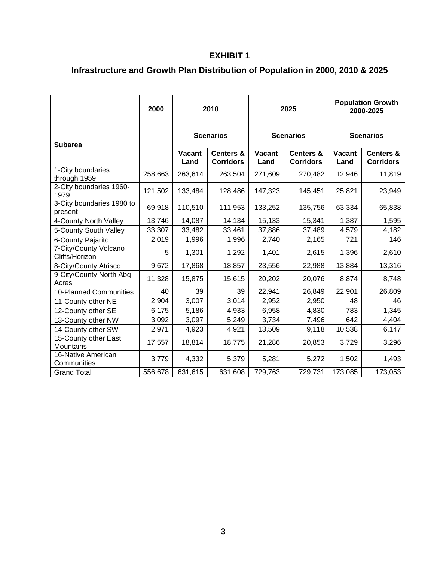### **EXHIBIT 1**

## **Infrastructure and Growth Plan Distribution of Population in 2000, 2010 & 2025**

|                                         | 2000    | 2010                  |                                          | 2025                  |                                          | <b>Population Growth</b><br>2000-2025 |                                          |
|-----------------------------------------|---------|-----------------------|------------------------------------------|-----------------------|------------------------------------------|---------------------------------------|------------------------------------------|
| <b>Subarea</b>                          |         | <b>Scenarios</b>      |                                          | <b>Scenarios</b>      |                                          | <b>Scenarios</b>                      |                                          |
|                                         |         | <b>Vacant</b><br>Land | <b>Centers &amp;</b><br><b>Corridors</b> | <b>Vacant</b><br>Land | <b>Centers &amp;</b><br><b>Corridors</b> | <b>Vacant</b><br>Land                 | <b>Centers &amp;</b><br><b>Corridors</b> |
| 1-City boundaries<br>through 1959       | 258,663 | 263,614               | 263,504                                  | 271,609               | 270,482                                  | 12,946                                | 11,819                                   |
| 2-City boundaries 1960-<br>1979         | 121,502 | 133,484               | 128,486                                  | 147,323               | 145,451                                  | 25,821                                | 23,949                                   |
| 3-City boundaries 1980 to<br>present    | 69,918  | 110,510               | 111,953                                  | 133,252               | 135,756                                  | 63,334                                | 65,838                                   |
| 4-County North Valley                   | 13,746  | 14,087                | 14,134                                   | 15,133                | 15,341                                   | 1,387                                 | 1,595                                    |
| 5-County South Valley                   | 33,307  | 33,482                | 33,461                                   | 37,886                | 37,489                                   | 4,579                                 | 4,182                                    |
| 6-County Pajarito                       | 2,019   | 1,996                 | 1,996                                    | 2,740                 | 2,165                                    | 721                                   | 146                                      |
| 7-City/County Volcano<br>Cliffs/Horizon | 5       | 1,301                 | 1,292                                    | 1,401                 | 2,615                                    | 1,396                                 | 2,610                                    |
| 8-City/County Atrisco                   | 9,672   | 17,868                | 18,857                                   | 23,556                | 22,988                                   | 13,884                                | 13,316                                   |
| 9-City/County North Abq<br>Acres        | 11,328  | 15,875                | 15,615                                   | 20,202                | 20,076                                   | 8,874                                 | 8,748                                    |
| 10-Planned Communities                  | 40      | 39                    | 39                                       | 22,941                | 26,849                                   | 22,901                                | 26,809                                   |
| 11-County other NE                      | 2,904   | 3,007                 | 3,014                                    | 2,952                 | 2,950                                    | 48                                    | 46                                       |
| 12-County other SE                      | 6,175   | 5,186                 | 4,933                                    | 6,958                 | 4,830                                    | 783                                   | $-1,345$                                 |
| 13-County other NW                      | 3,092   | 3,097                 | 5,249                                    | 3,734                 | 7,496                                    | 642                                   | 4,404                                    |
| 14-County other SW                      | 2,971   | 4,923                 | 4,921                                    | 13,509                | 9,118                                    | 10,538                                | 6,147                                    |
| 15-County other East<br>Mountains       | 17,557  | 18,814                | 18,775                                   | 21,286                | 20,853                                   | 3,729                                 | 3,296                                    |
| 16-Native American<br>Communities       | 3,779   | 4,332                 | 5,379                                    | 5,281                 | 5,272                                    | 1,502                                 | 1,493                                    |
| <b>Grand Total</b>                      | 556,678 | 631,615               | 631,608                                  | 729,763               | 729,731                                  | 173,085                               | 173,053                                  |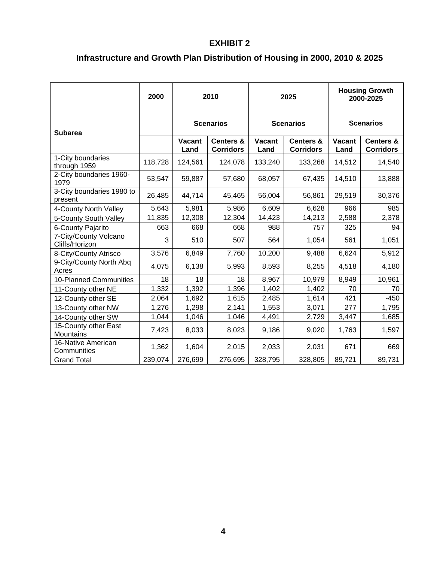#### **EXHIBIT 2**

## **Infrastructure and Growth Plan Distribution of Housing in 2000, 2010 & 2025**

|                                         | 2000    | 2010                  |                                          | 2025                  |                                          | <b>Housing Growth</b><br>2000-2025 |                                          |
|-----------------------------------------|---------|-----------------------|------------------------------------------|-----------------------|------------------------------------------|------------------------------------|------------------------------------------|
| <b>Subarea</b>                          |         | <b>Scenarios</b>      |                                          | <b>Scenarios</b>      |                                          | <b>Scenarios</b>                   |                                          |
|                                         |         | <b>Vacant</b><br>Land | <b>Centers &amp;</b><br><b>Corridors</b> | <b>Vacant</b><br>Land | <b>Centers &amp;</b><br><b>Corridors</b> | <b>Vacant</b><br>Land              | <b>Centers &amp;</b><br><b>Corridors</b> |
| 1-City boundaries<br>through 1959       | 118,728 | 124,561               | 124,078                                  | 133,240               | 133,268                                  | 14,512                             | 14,540                                   |
| 2-City boundaries 1960-<br>1979         | 53,547  | 59,887                | 57,680                                   | 68,057                | 67,435                                   | 14,510                             | 13,888                                   |
| 3-City boundaries 1980 to<br>present    | 26,485  | 44,714                | 45,465                                   | 56,004                | 56,861                                   | 29,519                             | 30,376                                   |
| 4-County North Valley                   | 5,643   | 5,981                 | 5,986                                    | 6,609                 | 6,628                                    | 966                                | 985                                      |
| 5-County South Valley                   | 11,835  | 12,308                | 12,304                                   | 14,423                | 14,213                                   | 2,588                              | 2,378                                    |
| 6-County Pajarito                       | 663     | 668                   | 668                                      | 988                   | 757                                      | 325                                | 94                                       |
| 7-City/County Volcano<br>Cliffs/Horizon | 3       | 510                   | 507                                      | 564                   | 1,054                                    | 561                                | 1,051                                    |
| 8-City/County Atrisco                   | 3,576   | 6,849                 | 7,760                                    | 10,200                | 9,488                                    | 6,624                              | 5,912                                    |
| 9-City/County North Abq<br>Acres        | 4,075   | 6,138                 | 5,993                                    | 8,593                 | 8,255                                    | 4,518                              | 4,180                                    |
| 10-Planned Communities                  | 18      | 18                    | 18                                       | 8,967                 | 10,979                                   | 8,949                              | 10,961                                   |
| 11-County other NE                      | 1,332   | 1,392                 | 1,396                                    | 1,402                 | 1,402                                    | 70                                 | 70                                       |
| 12-County other SE                      | 2,064   | 1,692                 | 1,615                                    | 2,485                 | 1,614                                    | 421                                | $-450$                                   |
| 13-County other NW                      | 1,276   | 1,298                 | 2,141                                    | 1,553                 | 3,071                                    | 277                                | 1,795                                    |
| 14-County other SW                      | 1,044   | 1,046                 | 1,046                                    | 4,491                 | 2,729                                    | 3,447                              | 1,685                                    |
| 15-County other East<br>Mountains       | 7,423   | 8,033                 | 8,023                                    | 9,186                 | 9,020                                    | 1,763                              | 1,597                                    |
| 16-Native American<br>Communities       | 1,362   | 1,604                 | 2,015                                    | 2,033                 | 2,031                                    | 671                                | 669                                      |
| <b>Grand Total</b>                      | 239,074 | 276,699               | 276,695                                  | 328,795               | 328,805                                  | 89,721                             | 89,731                                   |